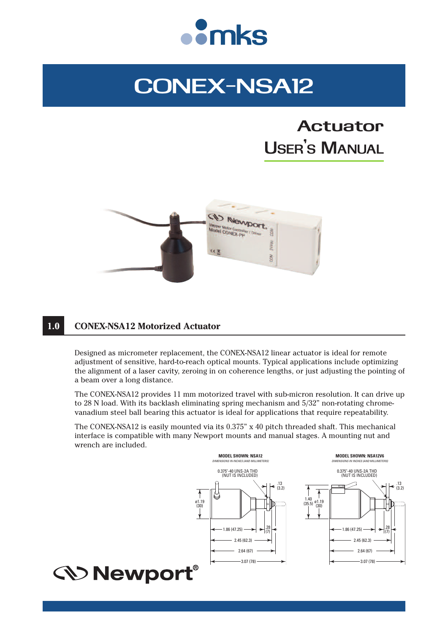

# **CONEX-NSA12**

# **Actuator USER ' S MANUAL**



# **1.0 CONEX-NSA12 Motorized Actuator**

Designed as micrometer replacement, the CONEX-NSA12 linear actuator is ideal for remote adjustment of sensitive, hard-to-reach optical mounts. Typical applications include optimizing the alignment of a laser cavity, zeroing in on coherence lengths, or just adjusting the pointing of a beam over a long distance.

The CONEX-NSA12 provides 11 mm motorized travel with sub-micron resolution. It can drive up to 28 N load. With its backlash eliminating spring mechanism and 5/32" non-rotating chromevanadium steel ball bearing this actuator is ideal for applications that require repeatability.

The CONEX-NSA12 is easily mounted via its 0.375" x 40 pitch threaded shaft. This mechanical interface is compatible with many Newport mounts and manual stages. A mounting nut and wrench are included.